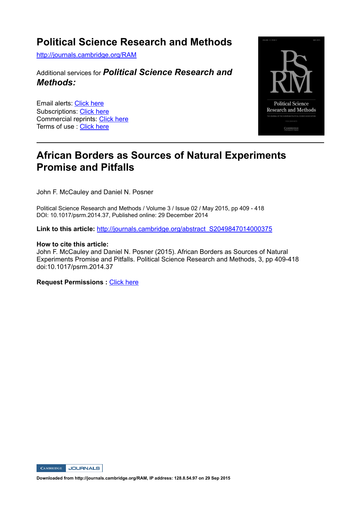# **Political Science Research and Methods**

http://journals.cambridge.org/RAM

Additional services for *Political Science Research and Methods:*

Email alerts: Click here Subscriptions: Click here Commercial reprints: Click here Terms of use : Click here



# **African Borders as Sources of Natural Experiments Promise and Pitfalls**

John F. McCauley and Daniel N. Posner

Political Science Research and Methods / Volume 3 / Issue 02 / May 2015, pp 409 - 418 DOI: 10.1017/psrm.2014.37, Published online: 29 December 2014

**Link to this article:** http://journals.cambridge.org/abstract\_S2049847014000375

### **How to cite this article:**

John F. McCauley and Daniel N. Posner (2015). African Borders as Sources of Natural Experiments Promise and Pitfalls. Political Science Research and Methods, 3, pp 409-418 doi:10.1017/psrm.2014.37

**Request Permissions :** Click here



**Downloaded from http://journals.cambridge.org/RAM, IP address: 128.8.54.97 on 29 Sep 2015**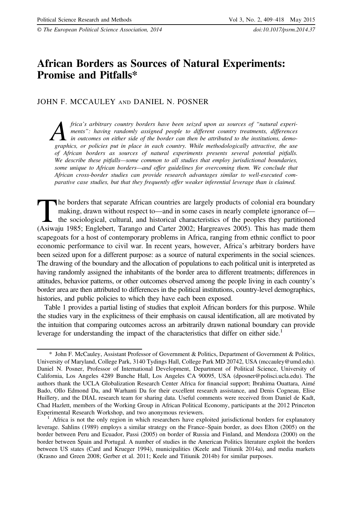© The European Political Science Association, 2014 doi:10.1017/psrm.2014.37

# African Borders as Sources of Natural Experiments: Promise and Pitfalls\*

## JOHN F. MCCAULEY AND DANIEL N. POSNER

*frica's arbitrary country borders have been seized upon as sources of "natural experiments": having randomly assigned people to different country treatments, differences in outcomes on either side of the border can then b* ments": having randomly assigned people to different country treatments, differences graphics, or policies put in place in each country. While methodologically attractive, the use of African borders as sources of natural experiments presents several potential pitfalls. We describe these pitfalls—some common to all studies that employ jurisdictional boundaries, some unique to African borders—and offer guidelines for overcoming them. We conclude that African cross-border studies can provide research advantages similar to well-executed comparative case studies, but that they frequently offer weaker inferential leverage than is claimed.

The borders that separate African countries are largely products of colonial era boundary<br>making, drawn without respect to—and in some cases in nearly complete ignorance of—<br>the sociological, cultural, and historical chara making, drawn without respect to—and in some cases in nearly complete ignorance of the sociological, cultural, and historical characteristics of the peoples they partitioned (Asiwaju [1985;](#page-8-0) Englebert, Tarango and Carter [2002;](#page-9-0) Hargreaves [2005\)](#page-9-0). This has made them scapegoats for a host of contemporary problems in Africa, ranging from ethnic conflict to poor economic performance to civil war. In recent years, however, Africa's arbitrary borders have been seized upon for a different purpose: as a source of natural experiments in the social sciences. The drawing of the boundary and the allocation of populations to each political unit is interpreted as having randomly assigned the inhabitants of the border area to different treatments; differences in attitudes, behavior patterns, or other outcomes observed among the people living in each country's border area are then attributed to differences in the political institutions, country-level demographics, histories, and public policies to which they have each been exposed.

[Table 1](#page-2-0) provides a partial listing of studies that exploit African borders for this purpose. While the studies vary in the explicitness of their emphasis on causal identification, all are motivated by the intuition that comparing outcomes across an arbitrarily drawn national boundary can provide leverage for understanding the impact of the characteristics that differ on either side.<sup>1</sup>

<sup>\*</sup> John F. McCauley, Assistant Professor of Government & Politics, Department of Government & Politics, University of Maryland, College Park, 3140 Tydings Hall, College Park MD 20742, USA (mccauley@umd.edu). Daniel N. Posner, Professor of International Development, Department of Political Science, University of California, Los Angeles 4289 Bunche Hall, Los Angeles CA 90095, USA (dposner@polisci.ucla.edu). The authors thank the UCLA Globalization Research Center Africa for financial support; Ibrahima Ouattara, Aimé Bado, Ollo Edmond Da, and Warhanti Da for their excellent research assistance, and Denis Cogneau, Elise Huillery, and the DIAL research team for sharing data. Useful comments were received from Daniel de Kadt, Chad Hazlett, members of the Working Group in African Political Economy, participants at the 2012 Princeton Experimental Research Workshop, and two anonymous reviewers.<br><sup>1</sup> Africa is not the only region in which researchers have exploited jurisdictional borders for explanatory

leverage. Sahlins ([1989\)](#page-10-0) employs a similar strategy on the France–Spain border, as does Elton [\(2005\)](#page-8-0) on the border between Peru and Ecuador, Passi [\(2005](#page-10-0)) on border of Russia and Finland, and Mendoza ([2000](#page-9-0)) on the border between Spain and Portugal. A number of studies in the American Politics literature exploit the borders between US states (Card and Krueger 1994), municipalities (Keele and Titiunik [2014a](#page-9-0)), and media markets (Krasno and Green 2008; Gerber et al. 2011; Keele and Titiunik [2014b](#page-9-0)) for similar purposes.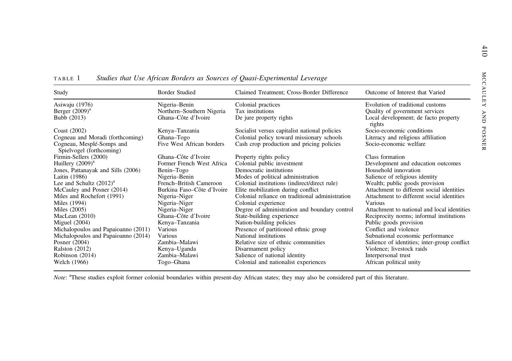| Study                                                 | Border Studied             | Claimed Treatment; Cross-Border Difference      | Outcome of Interest that Varied                |
|-------------------------------------------------------|----------------------------|-------------------------------------------------|------------------------------------------------|
| Asiwaju (1976)                                        | Nigeria-Benin              | Colonial practices                              | Evolution of traditional customs               |
| Berger $(2009)^a$                                     | Northern–Southern Nigeria  | Tax institutions                                | Quality of government services                 |
| Bubb (2013)                                           | Ghana–Côte d'Ivoire        | De jure property rights                         | Local development; de facto property<br>rights |
| Coast (2002)                                          | Kenya–Tanzania             | Socialist versus capitalist national policies   | Socio-economic conditions                      |
| Cogneau and Moradi (forthcoming)                      | Ghana-Togo                 | Colonial policy toward missionary schools       | Literacy and religious affiliation             |
| Cogneau, Mesplé-Somps and<br>Spielvogel (forthcoming) | Five West African borders  | Cash crop production and pricing policies       | Socio-economic welfare                         |
| Firmin-Sellers (2000)                                 | Ghana-Côte d'Ivoire        | Property rights policy                          | Class formation                                |
| Huillery $(2009)^a$                                   | Former French West Africa  | Colonial public investment                      | Development and education outcomes             |
| Jones, Pattanayak and Sills (2006)                    | Benin-Togo                 | Democratic institutions                         | Household innovation                           |
| Laitin (1986)                                         | Nigeria-Benin              | Modes of political administration               | Salience of religious identity                 |
| Lee and Schultz $(2012)^{a}$                          | French-British Cameroon    | Colonial institutions (indirect/direct rule)    | Wealth; public goods provision                 |
| McCauley and Posner (2014)                            | Burkina Faso–Côte d'Ivoire | Elite mobilization during conflict              | Attachment to different social identities      |
| Miles and Rochefort (1991)                            | Nigeria-Niger              | Colonial reliance on traditional administration | Attachment to different social identities      |
| Miles (1994)                                          | Nigeria-Niger              | Colonial experience                             | Various                                        |
| Miles (2005)                                          | Nigeria-Niger              | Degree of administration and boundary control   | Attachment to national and local identities    |
| MacLean $(2010)$                                      | Ghana-Côte d'Ivoire        | State-building experience                       | Reciprocity norms; informal institutions       |
| Miguel $(2004)$                                       | Kenya-Tanzania             | Nation-building policies                        | Public goods provision                         |
| Michalopoulos and Papaioanno (2011)                   | Various                    | Presence of partitioned ethnic group            | Conflict and violence                          |
| Michalopoulos and Papaioanno (2014)                   | Various                    | National institutions                           | Subnational economic performance               |
| Posner $(2004)$                                       | Zambia-Malawi              | Relative size of ethnic communities             | Salience of identities; inter-group conflict   |
| Ralston $(2012)$                                      | Kenya-Uganda               | Disarmament policy                              | Violence; livestock raids                      |
| Robinson (2014)                                       | Zambia-Malawi              | Salience of national identity                   | Interpersonal trust                            |
| Welch (1966)                                          | Togo–Ghana                 | Colonial and nationalist experiences            | African political unity                        |

<span id="page-2-0"></span>

| Studies that Use African Borders as Sources of Quasi-Experimental Leverage<br>TABLE 1 |  |  |
|---------------------------------------------------------------------------------------|--|--|
|---------------------------------------------------------------------------------------|--|--|

*Note*:  ${}^{a}$ These studies exploit former colonial boundaries within present-day African states; they may also be considered part of this literature.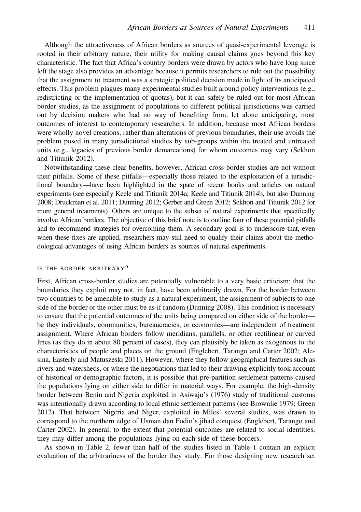Although the attractiveness of African borders as sources of quasi-experimental leverage is rooted in their arbitrary nature, their utility for making causal claims goes beyond this key characteristic. The fact that Africa's country borders were drawn by actors who have long since left the stage also provides an advantage because it permits researchers to rule out the possibility that the assignment to treatment was a strategic political decision made in light of its anticipated effects. This problem plagues many experimental studies built around policy interventions (e.g., redistricting or the implementation of quotas), but it can safely be ruled out for most African border studies, as the assignment of populations to different political jurisdictions was carried out by decision makers who had no way of benefiting from, let alone anticipating, most outcomes of interest to contemporary researchers. In addition, because most African borders were wholly novel creations, rather than alterations of previous boundaries, their use avoids the problem posed in many jurisdictional studies by sub-groups within the treated and untreated units (e.g., legacies of previous border demarcations) for whom outcomes may vary (Sekhon and Titiunik [2012\)](#page-10-0).

Notwithstanding these clear benefits, however, African cross-border studies are not without their pitfalls. Some of these pitfalls—especially those related to the exploitation of a jurisdictional boundary—have been highlighted in the spate of recent books and articles on natural experiments (see especially Keele and Titiunik [2014a](#page-9-0); Keele and Titiunik [2014b](#page-9-0), but also Dunning [2008;](#page-8-0) Druckman et al. [2011;](#page-8-0) Dunning [2012;](#page-8-0) Gerber and Green [2012;](#page-9-0) Sekhon and Titiunik [2012](#page-10-0) for more general treatments). Others are unique to the subset of natural experiments that specifically involve African borders. The objective of this brief note is to outline four of these potential pitfalls and to recommend strategies for overcoming them. A secondary goal is to underscore that, even when these fixes are applied, researchers may still need to qualify their claims about the methodological advantages of using African borders as sources of natural experiments.

#### IS THE BORDER ARBITRARY?

First, African cross-border studies are potentially vulnerable to a very basic criticism: that the boundaries they exploit may not, in fact, have been arbitrarily drawn. For the border between two countries to be amenable to study as a natural experiment, the assignment of subjects to one side of the border or the other must be as-if random (Dunning [2008\)](#page-8-0). This condition is necessary to ensure that the potential outcomes of the units being compared on either side of the border be they individuals, communities, bureaucracies, or economies—are independent of treatment assignment. Where African borders follow meridians, parallels, or other rectilinear or curved lines (as they do in about 80 percent of cases), they can plausibly be taken as exogenous to the characteristics of people and places on the ground (Englebert, Tarango and Carter [2002](#page-9-0); Alesina, Easterly and Matuszeski [2011\)](#page-8-0). However, where they follow geographical features such as rivers and watersheds, or where the negotiations that led to their drawing explicitly took account of historical or demographic factors, it is possible that pre-partition settlement patterns caused the populations lying on either side to differ in material ways. For example, the high-density border between Benin and Nigeria exploited in Asiwaju's ([1976](#page-8-0)) study of traditional customs was intentionally drawn according to local ethnic settlement patterns (see Brownlie [1979](#page-8-0); Green [2012\)](#page-9-0). That between Nigeria and Niger, exploited in Miles' several studies, was drawn to correspond to the northern edge of Usman dan Fodio's jihad conquest (Englebert, Tarango and Carter [2002\)](#page-9-0). In general, to the extent that potential outcomes are related to social identities, they may differ among the populations lying on each side of these borders.

As shown in [Table 2,](#page-4-0) fewer than half of the studies listed in [Table 1](#page-2-0) contain an explicit evaluation of the arbitrariness of the border they study. For those designing new research set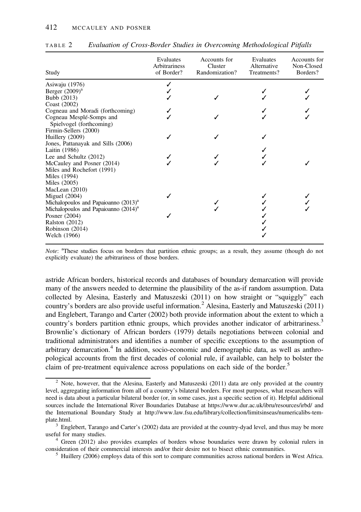| Study                                                | Evaluates<br><b>Arbitrariness</b><br>of Border? | Accounts for<br>Cluster<br>Randomization? | Evaluates<br>Alternative<br>Treatments? | Accounts for<br>Non-Closed<br>Borders? |
|------------------------------------------------------|-------------------------------------------------|-------------------------------------------|-----------------------------------------|----------------------------------------|
| Asiwaju (1976)                                       |                                                 |                                           |                                         |                                        |
| Berger $(2009)^a$                                    |                                                 |                                           |                                         |                                        |
| Bubb (2013)                                          |                                                 |                                           |                                         |                                        |
| Coast (2002)                                         |                                                 |                                           |                                         |                                        |
| Cogneau and Moradi (forthcoming)                     |                                                 |                                           |                                         |                                        |
| Cogneau Mesplé-Somps and<br>Spielvogel (forthcoming) |                                                 |                                           |                                         |                                        |
| Firmin-Sellers (2000)                                |                                                 |                                           |                                         |                                        |
| Huillery (2009)                                      |                                                 |                                           |                                         |                                        |
| Jones, Pattanayak and Sills (2006)<br>Laitin (1986)  |                                                 |                                           |                                         |                                        |
| Lee and Schultz (2012)                               |                                                 |                                           |                                         |                                        |
| McCauley and Posner (2014)                           |                                                 |                                           |                                         |                                        |
| Miles and Rochefort (1991)                           |                                                 |                                           |                                         |                                        |
| Miles (1994)                                         |                                                 |                                           |                                         |                                        |
| Miles $(2005)$                                       |                                                 |                                           |                                         |                                        |
| MacLean (2010)                                       |                                                 |                                           |                                         |                                        |
| Miguel $(2004)$                                      |                                                 |                                           |                                         |                                        |
| Michalopoulos and Papaioanno $(2013)^{a}$            |                                                 |                                           |                                         |                                        |
| Michalopoulos and Papaioanno $(2014)^{a}$            |                                                 |                                           |                                         |                                        |
| Posner $(2004)$                                      |                                                 |                                           |                                         |                                        |
| Ralston $(2012)$                                     |                                                 |                                           |                                         |                                        |
| Robinson (2014)                                      |                                                 |                                           |                                         |                                        |
| Welch (1966)                                         |                                                 |                                           |                                         |                                        |

<span id="page-4-0"></span>TABLE 2 Evaluation of Cross-Border Studies in Overcoming Methodological Pitfalls

Note: <sup>a</sup>These studies focus on borders that partition ethnic groups; as a result, they assume (though do not explicitly evaluate) the arbitrariness of those borders.

astride African borders, historical records and databases of boundary demarcation will provide many of the answers needed to determine the plausibility of the as-if random assumption. Data collected by Alesina, Easterly and Matuszeski [\(2011](#page-8-0)) on how straight or "squiggly" each country's borders are also provide useful information.<sup>2</sup> Alesina, Easterly and Matuszeski ([2011\)](#page-8-0) and Englebert, Tarango and Carter ([2002\)](#page-9-0) both provide information about the extent to which a country's borders partition ethnic groups, which provides another indicator of arbitrariness.<sup>3</sup> Brownlie's dictionary of African borders (1979) details negotiations between colonial and traditional administrators and identifies a number of specific exceptions to the assumption of arbitrary demarcation.<sup>4</sup> In addition, socio-economic and demographic data, as well as anthropological accounts from the first decades of colonial rule, if available, can help to bolster the claim of pre-treatment equivalence across populations on each side of the border.<sup>5</sup>

 $2$  Note, however, that the Alesina, Easterly and Matuszeski [\(2011](#page-8-0)) data are only provided at the country level, aggregating information from all of a country's bilateral borders. For most purposes, what researchers will need is data about a particular bilateral border (or, in some cases, just a specific section of it). Helpful additional sources include the International River Boundaries Database at<https://www.dur.ac.uk/ibru/resources/irbd/> and the International Boundary Study at [http://www.law.fsu.edu/library/collection/limitsinseas/numericalibs-tem-](http://www.law.fsu.edu/library/collection/limitsinseas/numericalibs-template.html)

[plate.html.](http://www.law.fsu.edu/library/collection/limitsinseas/numericalibs-template.html)<br><sup>3</sup> Englebert, Tarango and Carter's ([2002\)](#page-9-0) data are provided at the country-dyad level, and thus may be more useful for many studies.

 $4$  Green [\(2012](#page-9-0)) also provides examples of borders whose boundaries were drawn by colonial rulers in consideration of their commercial interests and/or their desire not to bisect ethnic communities.

 $5$  Huillery [\(2006](#page-9-0)) employs data of this sort to compare communities across national borders in West Africa.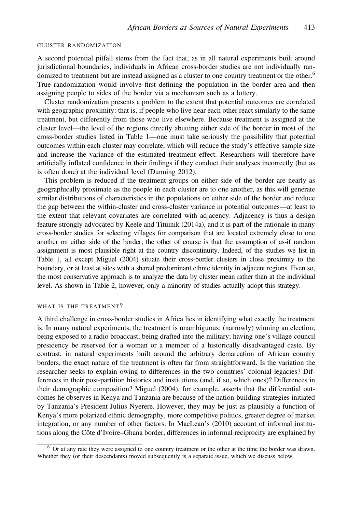#### CLUSTER RANDOMIZATION

A second potential pitfall stems from the fact that, as in all natural experiments built around jurisdictional boundaries, individuals in African cross-border studies are not individually randomized to treatment but are instead assigned as a cluster to one country treatment or the other.<sup>6</sup> True randomization would involve first defining the population in the border area and then assigning people to sides of the border via a mechanism such as a lottery.

Cluster randomization presents a problem to the extent that potential outcomes are correlated with geographic proximity: that is, if people who live near each other react similarly to the same treatment, but differently from those who live elsewhere. Because treatment is assigned at the cluster level—the level of the regions directly abutting either side of the border in most of the cross-border studies listed in [Table 1](#page-2-0)—one must take seriously the possibility that potential outcomes within each cluster may correlate, which will reduce the study's effective sample size and increase the variance of the estimated treatment effect. Researchers will therefore have artificially inflated confidence in their findings if they conduct their analyses incorrectly (but as is often done) at the individual level (Dunning [2012](#page-8-0)).

This problem is reduced if the treatment groups on either side of the border are nearly as geographically proximate as the people in each cluster are to one another, as this will generate similar distributions of characteristics in the populations on either side of the border and reduce the gap between the within-cluster and cross-cluster variance in potential outcomes—at least to the extent that relevant covariates are correlated with adjacency. Adjacency is thus a design feature strongly advocated by Keele and Tituinik [\(2014a\)](#page-9-0), and it is part of the rationale in many cross-border studies for selecting villages for comparison that are located extremely close to one another on either side of the border; the other of course is that the assumption of as-if random assignment is most plausible right at the country discontinuity. Indeed, of the studies we list in [Table 1,](#page-2-0) all except Miguel [\(2004](#page-9-0)) situate their cross-border clusters in close proximity to the boundary, or at least at sites with a shared predominant ethnic identity in adjacent regions. Even so, the most conservative approach is to analyze the data by cluster mean rather than at the individual level. As shown in [Table 2](#page-4-0), however, only a minority of studies actually adopt this strategy.

### WHAT IS THE TREATMENT?

A third challenge in cross-border studies in Africa lies in identifying what exactly the treatment is. In many natural experiments, the treatment is unambiguous: (narrowly) winning an election; being exposed to a radio broadcast; being drafted into the military; having one's village council presidency be reserved for a woman or a member of a historically disadvantaged caste. By contrast, in natural experiments built around the arbitrary demarcation of African country borders, the exact nature of the treatment is often far from straightforward. Is the variation the researcher seeks to explain owing to differences in the two countries' colonial legacies? Differences in their post-partition histories and institutions (and, if so, which ones)? Differences in their demographic composition? Miguel ([2004\)](#page-9-0), for example, asserts that the differential outcomes he observes in Kenya and Tanzania are because of the nation-building strategies initiated by Tanzania's President Julius Nyerere. However, they may be just as plausibly a function of Kenya's more polarized ethnic demography, more competitive politics, greater degree of market integration, or any number of other factors. In MacLean's [\(2010](#page-9-0)) account of informal institutions along the Côte d'Ivoire–Ghana border, differences in informal reciprocity are explained by

<sup>6</sup> Or at any rate they were assigned to one country treatment or the other at the time the border was drawn. Whether they (or their descendants) moved subsequently is a separate issue, which we discuss below.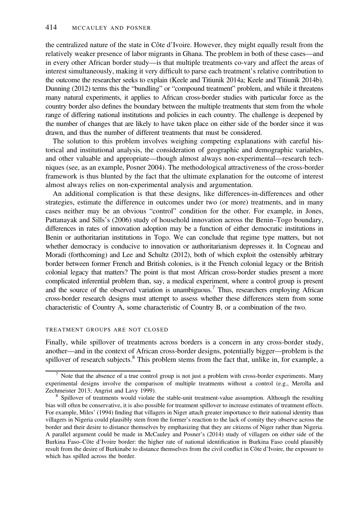the centralized nature of the state in Côte d'Ivoire. However, they might equally result from the relatively weaker presence of labor migrants in Ghana. The problem in both of these cases—and in every other African border study—is that multiple treatments co-vary and affect the areas of interest simultaneously, making it very difficult to parse each treatment's relative contribution to the outcome the researcher seeks to explain (Keele and Titiunik [2014a;](#page-9-0) Keele and Titiunik [2014b\)](#page-9-0). Dunning [\(2012\)](#page-8-0) terms this the "bundling" or "compound treatment" problem, and while it threatens many natural experiments, it applies to African cross-border studies with particular force as the country border also defines the boundary between the multiple treatments that stem from the whole range of differing national institutions and policies in each country. The challenge is deepened by the number of changes that are likely to have taken place on either side of the border since it was drawn, and thus the number of different treatments that must be considered.

The solution to this problem involves weighing competing explanations with careful historical and institutional analysis, the consideration of geographic and demographic variables, and other valuable and appropriate—though almost always non-experimental—research techniques (see, as an example, Posner [2004\)](#page-10-0). The methodological attractiveness of the cross-border framework is thus blunted by the fact that the ultimate explanation for the outcome of interest almost always relies on non-experimental analysis and argumentation.

An additional complication is that these designs, like differences-in-differences and other strategies, estimate the difference in outcomes under two (or more) treatments, and in many cases neither may be an obvious "control" condition for the other. For example, in Jones, Pattanayak and Sills's [\(2006](#page-9-0)) study of household innovation across the Benin–Togo boundary, differences in rates of innovation adoption may be a function of either democratic institutions in Benin or authoritarian institutions in Togo. We can conclude that regime type matters, but not whether democracy is conducive to innovation or authoritarianism depresses it. In Cogneau and Moradi ([forthcoming](#page-8-0)) and Lee and Schultz [\(2012](#page-9-0)), both of which exploit the ostensibly arbitrary border between former French and British colonies, is it the French colonial legacy or the British colonial legacy that matters? The point is that most African cross-border studies present a more complicated inferential problem than, say, a medical experiment, where a control group is present and the source of the observed variation is unambiguous.<sup>7</sup> Thus, researchers employing African cross-border research designs must attempt to assess whether these differences stem from some characteristic of Country A, some characteristic of Country B, or a combination of the two.

### TREATMENT GROUPS ARE NOT CLOSED

Finally, while spillover of treatments across borders is a concern in any cross-border study, another—and in the context of African cross-border designs, potentially bigger—problem is the spillover of research subjects.<sup>8</sup> This problem stems from the fact that, unlike in, for example, a

Note that the absence of a true control group is not just a problem with cross-border experiments. Many experimental designs involve the comparison of multiple treatments without a control (e.g., Merolla and Zechmeister [2013](#page-9-0); Angrist and Lavy [1999](#page-8-0)).<br><sup>8</sup> Spillover of treatments would violate the stable-unit treatment-value assumption. Although the resulting

bias will often be conservative, it is also possible for treatment spillover to increase estimates of treatment effects. For example, Miles' [\(1994](#page-9-0)) finding that villagers in Niger attach greater importance to their national identity than villagers in Nigeria could plausibly stem from the former's reaction to the lack of comity they observe across the border and their desire to distance themselves by emphasizing that they are citizens of Niger rather than Nigeria. A parallel argument could be made in McCauley and Posner's ([2014\)](#page-9-0) study of villagers on either side of the Burkina Faso–Côte d'Ivoire border: the higher rate of national identification in Burkina Faso could plausibly result from the desire of Burkinabe to distance themselves from the civil conflict in Côte d'Ivoire, the exposure to which has spilled across the border.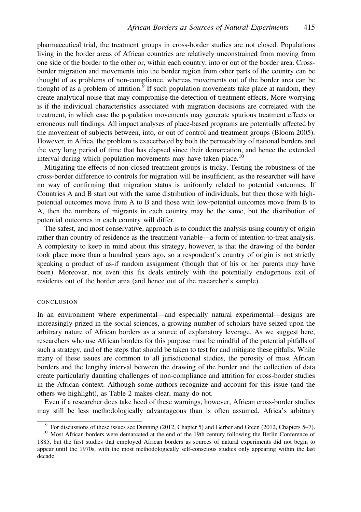pharmaceutical trial, the treatment groups in cross-border studies are not closed. Populations living in the border areas of African countries are relatively unconstrained from moving from one side of the border to the other or, within each country, into or out of the border area. Crossborder migration and movements into the border region from other parts of the country can be thought of as problems of non-compliance, whereas movements out of the border area can be thought of as a problem of attrition. $9$  If such population movements take place at random, they create analytical noise that may compromise the detection of treatment effects. More worrying is if the individual characteristics associated with migration decisions are correlated with the treatment, in which case the population movements may generate spurious treatment effects or erroneous null findings. All impact analyses of place-based programs are potentially affected by the movement of subjects between, into, or out of control and treatment groups (Bloom [2005\)](#page-8-0). However, in Africa, the problem is exacerbated by both the permeability of national borders and the very long period of time that has elapsed since their demarcation, and hence the extended interval during which population movements may have taken place.<sup>10</sup>

Mitigating the effects of non-closed treatment groups is tricky. Testing the robustness of the cross-border difference to controls for migration will be insufficient, as the researcher will have no way of confirming that migration status is uniformly related to potential outcomes. If Countries A and B start out with the same distribution of individuals, but then those with highpotential outcomes move from A to B and those with low-potential outcomes move from B to A, then the numbers of migrants in each country may be the same, but the distribution of potential outcomes in each country will differ.

The safest, and most conservative, approach is to conduct the analysis using country of origin rather than country of residence as the treatment variable—a form of intention-to-treat analysis. A complexity to keep in mind about this strategy, however, is that the drawing of the border took place more than a hundred years ago, so a respondent's country of origin is not strictly speaking a product of as-if random assignment (though that of his or her parents may have been). Moreover, not even this fix deals entirely with the potentially endogenous exit of residents out of the border area (and hence out of the researcher's sample).

#### CONCLUSION

In an environment where experimental—and especially natural experimental—designs are increasingly prized in the social sciences, a growing number of scholars have seized upon the arbitrary nature of African borders as a source of explanatory leverage. As we suggest here, researchers who use African borders for this purpose must be mindful of the potential pitfalls of such a strategy, and of the steps that should be taken to test for and mitigate these pitfalls. While many of these issues are common to all jurisdictional studies, the porosity of most African borders and the lengthy interval between the drawing of the border and the collection of data create particularly daunting challenges of non-compliance and attrition for cross-border studies in the African context. Although some authors recognize and account for this issue (and the others we highlight), as [Table 2](#page-4-0) makes clear, many do not.

Even if a researcher does take heed of these warnings, however, African cross-border studies may still be less methodologically advantageous than is often assumed. Africa's arbitrary

<sup>&</sup>lt;sup>9</sup> For discussions of these issues see Dunning [\(2012](#page-8-0), Chapter 5) and Gerber and Green ([2012,](#page-9-0) Chapters 5–7).<br><sup>10</sup> Most African borders were demarcated at the end of the 19th century following the Berlin Conference of 1885, but the first studies that employed African borders as sources of natural experiments did not begin to appear until the 1970s, with the most methodologically self-conscious studies only appearing within the last decade.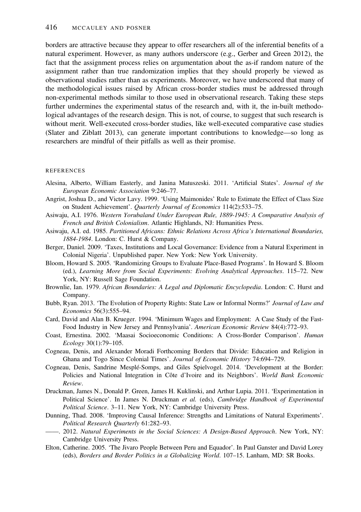<span id="page-8-0"></span>borders are attractive because they appear to offer researchers all of the inferential benefits of a natural experiment. However, as many authors underscore (e.g., Gerber and Green [2012\)](#page-9-0), the fact that the assignment process relies on argumentation about the as-if random nature of the assignment rather than true randomization implies that they should properly be viewed as observational studies rather than as experiments. Moreover, we have underscored that many of the methodological issues raised by African cross-border studies must be addressed through non-experimental methods similar to those used in observational research. Taking these steps further undermines the experimental status of the research and, with it, the in-built methodological advantages of the research design. This is not, of course, to suggest that such research is without merit. Well-executed cross-border studies, like well-executed comparative case studies (Slater and Ziblatt [2013\)](#page-10-0), can generate important contributions to knowledge—so long as researchers are mindful of their pitfalls as well as their promise.

#### REFERENCES

- Alesina, Alberto, William Easterly, and Janina Matuszeski. 2011. 'Artificial States'. Journal of the European Economic Association 9:246–77.
- Angrist, Joshua D., and Victor Lavy. 1999. 'Using Maimonides' Rule to Estimate the Effect of Class Size on Student Achievement'. Quarterly Journal of Economics 114(2):533–75.
- Asiwaju, A.I. 1976. Western Yorubaland Under European Rule, 1889-1945: A Comparative Analysis of French and British Colonialism. Atlantic Highlands, NJ: Humanities Press.
- Asiwaju, A.I. ed. 1985. Partitioned Africans: Ethnic Relations Across Africa's International Boundaries, 1884-1984. London: C. Hurst & Company.
- Berger, Daniel. 2009. 'Taxes, Institutions and Local Governance: Evidence from a Natural Experiment in Colonial Nigeria'. Unpublished paper. New York: New York University.
- Bloom, Howard S. 2005. 'Randomizing Groups to Evaluate Place-Based Programs'. In Howard S. Bloom (ed.), Learning More from Social Experiments: Evolving Analytical Approaches. 115–72. New York, NY: Russell Sage Foundation.
- Brownlie, Ian. 1979. African Boundaries: A Legal and Diplomatic Encyclopedia. London: C. Hurst and Company.
- Bubb, Ryan. 2013. 'The Evolution of Property Rights: State Law or Informal Norms?' Journal of Law and Economics 56(3):555–94.
- Card, David and Alan B. Krueger. 1994. 'Minimum Wages and Employment: A Case Study of the Fast-Food Industry in New Jersey and Pennsylvania'. American Economic Review 84(4):772–93.
- Coast, Ernestina. 2002. 'Maasai Socioeconomic Conditions: A Cross-Border Comparison'. Human Ecology 30(1):79–105.
- Cogneau, Denis, and Alexander Moradi Forthcoming Borders that Divide: Education and Religion in Ghana and Togo Since Colonial Times'. Journal of Economic History 74:694–729.
- Cogneau, Denis, Sandrine Mesplé-Somps, and Giles Spielvogel. 2014. 'Development at the Border: Policies and National Integration in Côte d'Ivoire and its Neighbors'. World Bank Economic Review.
- Druckman, James N., Donald P. Green, James H. Kuklinski, and Arthur Lupia. 2011. 'Experimentation in Political Science'. In James N. Druckman et al. (eds), Cambridge Handbook of Experimental Political Science. 3–11. New York, NY: Cambridge University Press.
- Dunning, Thad. 2008. 'Improving Causal Inference: Strengths and Limitations of Natural Experiments'. Political Research Quarterly 61:282–93.
- ——. 2012. Natural Experiments in the Social Sciences: A Design-Based Approach. New York, NY: Cambridge University Press.
- Elton, Catherine. 2005. 'The Jivaro People Between Peru and Equador'. In Paul Ganster and David Lorey (eds), Borders and Border Politics in a Globalizing World. 107–15. Lanham, MD: SR Books.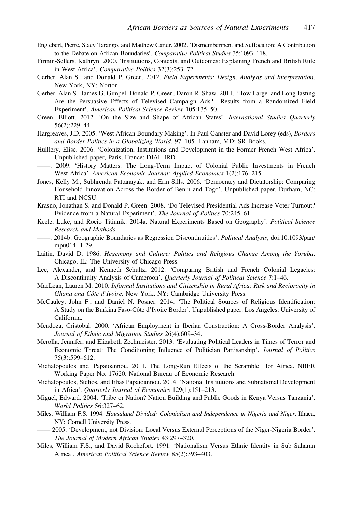- <span id="page-9-0"></span>Englebert, Pierre, Stacy Tarango, and Matthew Carter. 2002. 'Dismemberment and Suffocation: A Contribution to the Debate on African Boundaries'. Comparative Political Studies 35:1093–118.
- Firmin-Sellers, Kathryn. 2000. 'Institutions, Contexts, and Outcomes: Explaining French and British Rule in West Africa'. Comparative Politics 32(3):253–72.
- Gerber, Alan S., and Donald P. Green. 2012. Field Experiments: Design, Analysis and Interpretation. New York, NY: Norton.
- Gerber, Alan S., James G. Gimpel, Donald P. Green, Daron R. Shaw. 2011. 'How Large and Long-lasting Are the Persuasive Effects of Televised Campaign Ads? Results from a Randomized Field Experiment'. American Political Science Review 105:135–50.
- Green, Elliott. 2012. 'On the Size and Shape of African States'. International Studies Quarterly 56(2):229–44.
- Hargreaves, J.D. 2005. 'West African Boundary Making'. In Paul Ganster and David Lorey (eds), Borders and Border Politics in a Globalizing World. 97–105. Lanham, MD: SR Books.
- Huillery, Elise. 2006. 'Colonization, Institutions and Development in the Former French West Africa'. Unpublished paper, Paris, France: DIAL-IRD.
- ——. 2009. 'History Matters: The Long-Term Impact of Colonial Public Investments in French West Africa'. American Economic Journal: Applied Economics 1(2):176–215.
- Jones, Kelly M., Subhrendu Pattanayak, and Erin Sills. 2006. 'Democracy and Dictatorship: Comparing Household Innovation Across the Border of Benin and Togo'. Unpublished paper. Durham, NC: RTI and NCSU.
- Krasno, Jonathan S. and Donald P. Green. 2008. 'Do Televised Presidential Ads Increase Voter Turnout? Evidence from a Natural Experiment'. The Journal of Politics 70:245–61.
- Keele, Luke, and Rocio Titiunik. 2014a. Natural Experiments Based on Geography'. Political Science Research and Methods.
- ——. 2014b. Geographic Boundaries as Regression Discontinuities'. Political Analysis, doi:10.1093/pan/ mpu014: 1-29.
- Laitin, David D. 1986. Hegemony and Culture: Politics and Religious Change Among the Yoruba. Chicago, IL: The University of Chicago Press.
- Lee, Alexander, and Kenneth Schultz. 2012. 'Comparing British and French Colonial Legacies: A Discontinuity Analysis of Cameroon'. Quarterly Journal of Political Science 7:1–46.
- MacLean, Lauren M. 2010. Informal Institutions and Citizenship in Rural Africa: Risk and Reciprocity in Ghana and Côte d'Ivoire. New York, NY: Cambridge University Press.
- McCauley, John F., and Daniel N. Posner. 2014. 'The Political Sources of Religious Identification: A Study on the Burkina Faso-Côte d'Ivoire Border'. Unpublished paper. Los Angeles: University of California.
- Mendoza, Cristobal. 2000. 'African Employment in Iberian Construction: A Cross-Border Analysis'. Journal of Ethnic and Migration Studies 26(4):609–34.
- Merolla, Jennifer, and Elizabeth Zechmeister. 2013. 'Evaluating Political Leaders in Times of Terror and Economic Threat: The Conditioning Influence of Politician Partisanship'. Journal of Politics 75(3):599–612.
- Michalopoulos and Papaioannou. 2011. The Long-Run Effects of the Scramble for Africa. NBER Working Paper No. 17620. National Bureau of Economic Research.
- Michalopoulos, Stelios, and Elias Papaioannou. 2014. 'National Institutions and Subnational Development in Africa'. Quarterly Journal of Economics 129(1):151–213.
- Miguel, Edward. 2004. 'Tribe or Nation? Nation Building and Public Goods in Kenya Versus Tanzania'. World Politics 56:327–62.
- Miles, William F.S. 1994. Hausaland Divided: Colonialism and Independence in Nigeria and Niger. Ithaca, NY: Cornell University Press.
- —— 2005. 'Development, not Division: Local Versus External Perceptions of the Niger-Nigeria Border'. The Journal of Modern African Studies 43:297–320.
- Miles, William F.S., and David Rochefort. 1991. 'Nationalism Versus Ethnic Identity in Sub Saharan Africa'. American Political Science Review 85(2):393–403.